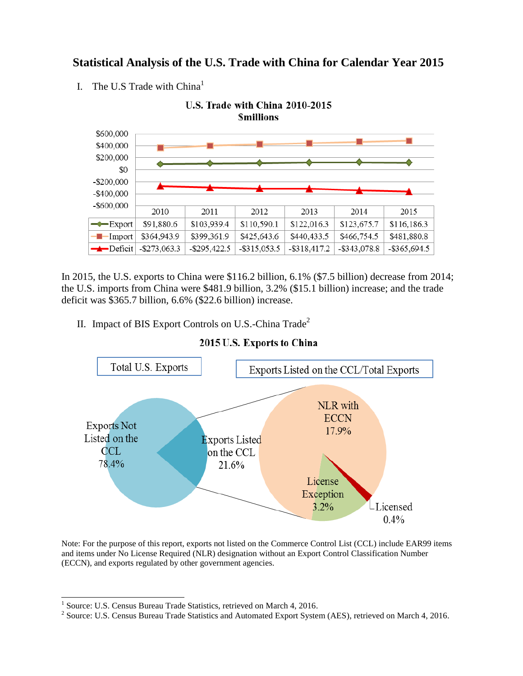## **Statistical Analysis of the U.S. Trade with China for Calendar Year 2015**

I. The U.S Trade with  $China<sup>1</sup>$ 



In 2015, the U.S. exports to China were \$116.2 billion, 6.1% (\$7.5 billion) decrease from 2014; the U.S. imports from China were \$481.9 billion, 3.2% (\$15.1 billion) increase; and the trade deficit was \$365.7 billion, 6.6% (\$22.6 billion) increase.

II. Impact of BIS Export Controls on U.S.-China Trade<sup>2</sup>



## 2015 U.S. Exports to China

Note: For the purpose of this report, exports not listed on the Commerce Control List (CCL) include EAR99 items and items under No License Required (NLR) designation without an Export Control Classification Number (ECCN), and exports regulated by other government agencies.

 1 Source: U.S. Census Bureau Trade Statistics, retrieved on March 4, 2016.

<sup>&</sup>lt;sup>2</sup> Source: U.S. Census Bureau Trade Statistics and Automated Export System (AES), retrieved on March 4, 2016.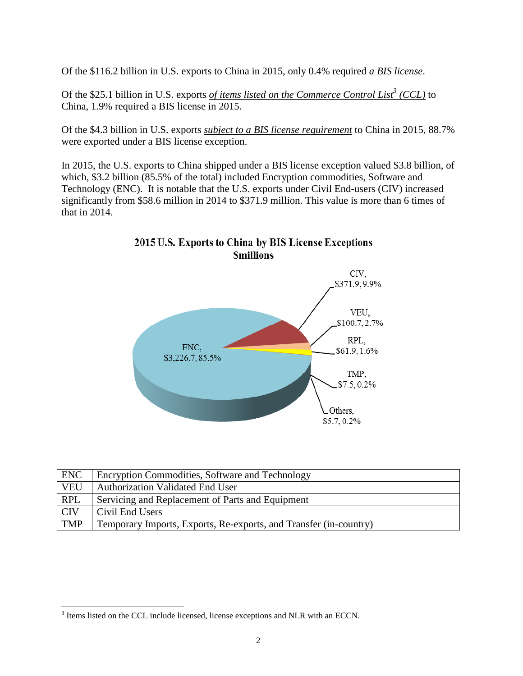Of the \$116.2 billion in U.S. exports to China in 2015, only 0.4% required *a BIS license*.

Of the \$25.1 billion in U.S. exports *of items listed on the Commerce Control List<sup>3</sup> (CCL)* to China, 1.9% required a BIS license in 2015.

Of the \$4.3 billion in U.S. exports *subject to a BIS license requirement* to China in 2015, 88.7% were exported under a BIS license exception.

In 2015, the U.S. exports to China shipped under a BIS license exception valued \$3.8 billion, of which, \$3.2 billion (85.5% of the total) included Encryption commodities, Software and Technology (ENC). It is notable that the U.S. exports under Civil End-users (CIV) increased significantly from \$58.6 million in 2014 to \$371.9 million. This value is more than 6 times of that in 2014.



2015 U.S. Exports to China by BIS License Exceptions **Smillions** 

| <b>ENC</b> | Encryption Commodities, Software and Technology                   |
|------------|-------------------------------------------------------------------|
| <b>VEU</b> | <b>Authorization Validated End User</b>                           |
| <b>RPL</b> | Servicing and Replacement of Parts and Equipment                  |
| <b>CIV</b> | Civil End Users                                                   |
| <b>TMP</b> | Temporary Imports, Exports, Re-exports, and Transfer (in-country) |

<sup>&</sup>lt;sup>3</sup> Items listed on the CCL include licensed, license exceptions and NLR with an ECCN.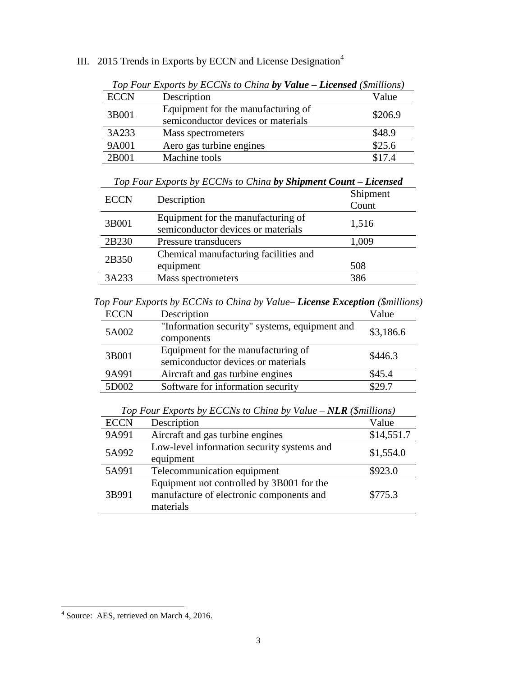|             | Top Four Exports by ECCNs to China by Value - Licensed (\$millions)      |         |
|-------------|--------------------------------------------------------------------------|---------|
| <b>ECCN</b> | Description                                                              | Value   |
| 3B001       | Equipment for the manufacturing of<br>semiconductor devices or materials | \$206.9 |
| 3A233       | Mass spectrometers                                                       | \$48.9  |
| 9A001       | Aero gas turbine engines                                                 | \$25.6  |
| 2B001       | Machine tools                                                            | \$17.4  |

III. 2015 Trends in Exports by ECCN and License Designation<sup>4</sup>

|  | Top Four Exports by ECCNs to China by Shipment Count - Licensed |  |  |  |
|--|-----------------------------------------------------------------|--|--|--|
|--|-----------------------------------------------------------------|--|--|--|

| <b>ECCN</b> | Description                                                              | Shipment<br>Count |
|-------------|--------------------------------------------------------------------------|-------------------|
| 3B001       | Equipment for the manufacturing of<br>semiconductor devices or materials | 1,516             |
| 2B230       | Pressure transducers                                                     | 1,009             |
| 2B350       | Chemical manufacturing facilities and<br>equipment                       | 508               |
| 3A233       | Mass spectrometers                                                       | 386               |

*Top Four Exports by ECCNs to China by Value– License Exception (\$millions)*

| <b>ECCN</b> | Description                                   | Value     |  |
|-------------|-----------------------------------------------|-----------|--|
| 5A002       | "Information security" systems, equipment and | \$3,186.6 |  |
|             | components                                    |           |  |
| 3B001       | Equipment for the manufacturing of            | \$446.3   |  |
|             | semiconductor devices or materials            |           |  |
| 9A991       | Aircraft and gas turbine engines              | \$45.4    |  |
| 5D002       | Software for information security             | \$29.7    |  |

*Top Four Exports by ECCNs to China by Value – NLR (\$millions)*

| <b>ECCN</b> | Description                                                                                        | Value      |
|-------------|----------------------------------------------------------------------------------------------------|------------|
| 9A991       | Aircraft and gas turbine engines                                                                   | \$14,551.7 |
| 5A992       | Low-level information security systems and<br>equipment                                            | \$1,554.0  |
| 5A991       | Telecommunication equipment                                                                        | \$923.0    |
| 3B991       | Equipment not controlled by 3B001 for the<br>manufacture of electronic components and<br>materials | \$775.3    |

 4 Source: AES, retrieved on March 4, 2016.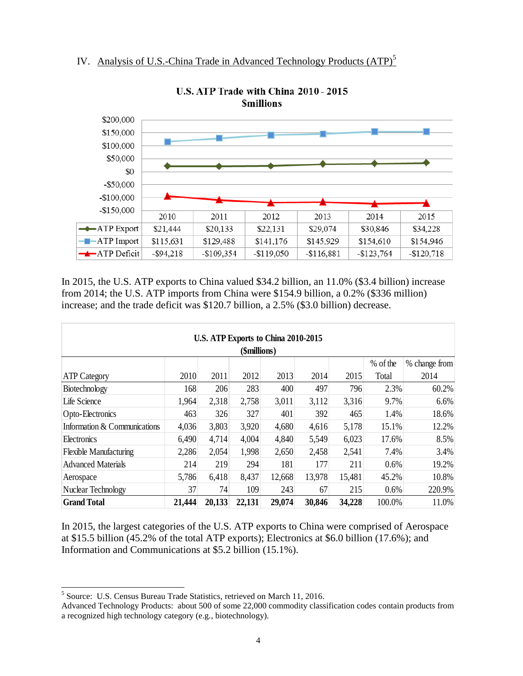



U.S. ATP Trade with China 2010 - 2015 **Smillions** 

In 2015, the U.S. ATP exports to China valued \$34.2 billion, an 11.0% (\$3.4 billion) increase from 2014; the U.S. ATP imports from China were \$154.9 billion, a 0.2% (\$336 million) increase; and the trade deficit was \$120.7 billion, a 2.5% (\$3.0 billion) decrease.

| U.S. ATP Exports to China 2010-2015 |        |        |        |        |        |        |        |        |
|-------------------------------------|--------|--------|--------|--------|--------|--------|--------|--------|
| (\$millions)                        |        |        |        |        |        |        |        |        |
| % of the<br>% change from           |        |        |        |        |        |        |        |        |
| <b>ATP</b> Category                 | 2010   | 2011   | 2012   | 2013   | 2014   | 2015   | Total  | 2014   |
| Biotechnology                       | 168    | 206    | 283    | 400    | 497    | 796    | 2.3%   | 60.2%  |
| Life Science                        | 1,964  | 2,318  | 2,758  | 3,011  | 3,112  | 3,316  | 9.7%   | 6.6%   |
| Opto-Electronics                    | 463    | 326    | 327    | 401    | 392    | 465    | 1.4%   | 18.6%  |
| Information & Communications        | 4,036  | 3,803  | 3,920  | 4,680  | 4,616  | 5,178  | 15.1%  | 12.2%  |
| Electronics                         | 6,490  | 4,714  | 4,004  | 4,840  | 5,549  | 6,023  | 17.6%  | 8.5%   |
| <b>Flexible Manufacturing</b>       | 2,286  | 2,054  | 1,998  | 2,650  | 2,458  | 2,541  | 7.4%   | 3.4%   |
| <b>Advanced Materials</b>           | 214    | 219    | 294    | 181    | 177    | 211    | 0.6%   | 19.2%  |
| Aerospace                           | 5,786  | 6,418  | 8,437  | 12,668 | 13,978 | 15,481 | 45.2%  | 10.8%  |
| Nuclear Technology                  | 37     | 74     | 109    | 243    | 67     | 215    | 0.6%   | 220.9% |
| <b>Grand Total</b>                  | 21,444 | 20,133 | 22,131 | 29,074 | 30,846 | 34,228 | 100.0% | 11.0%  |

In 2015, the largest categories of the U.S. ATP exports to China were comprised of Aerospace at \$15.5 billion (45.2% of the total ATP exports); Electronics at \$6.0 billion (17.6%); and Information and Communications at \$5.2 billion (15.1%).

 $\overline{\phantom{a}}$ <sup>5</sup> Source: U.S. Census Bureau Trade Statistics, retrieved on March 11, 2016.

Advanced Technology Products: about 500 of some 22,000 commodity classification codes contain products from a recognized high technology category (e.g., biotechnology).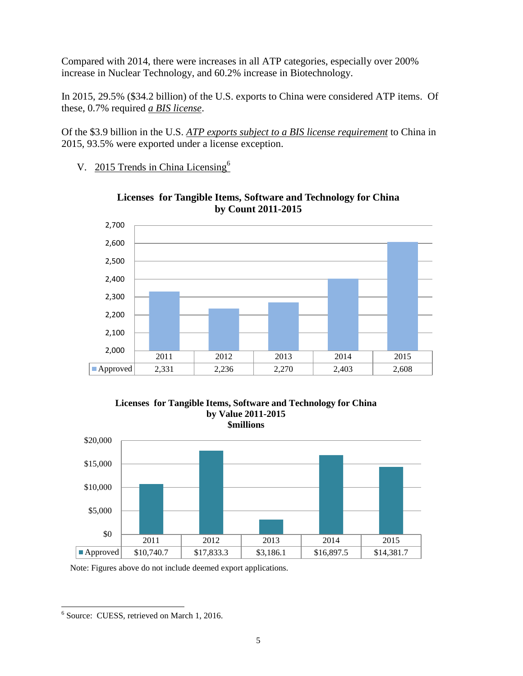Compared with 2014, there were increases in all ATP categories, especially over 200% increase in Nuclear Technology, and 60.2% increase in Biotechnology.

In 2015, 29.5% (\$34.2 billion) of the U.S. exports to China were considered ATP items. Of these, 0.7% required *a BIS license*.

Of the \$3.9 billion in the U.S. *ATP exports subject to a BIS license requirement* to China in 2015, 93.5% were exported under a license exception.

V. 2015 Trends in China Licensing<sup>6</sup>



**Licenses for Tangible Items, Software and Technology for China by Count 2011-2015**

## **Licenses for Tangible Items, Software and Technology for China by Value 2011-2015 \$millions**



Note: Figures above do not include deemed export applications.

 6 Source: CUESS, retrieved on March 1, 2016.